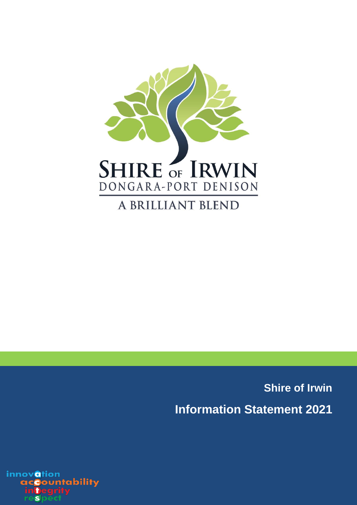

**Shire of Irwin Information Statement 2021**

innovation ountability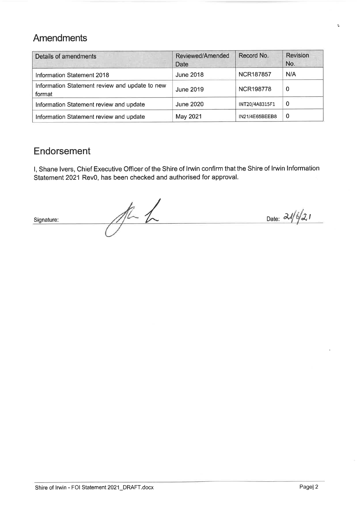# Amendments

| Details of amendments                                    | <b>Reviewed/Amended</b><br>Date | Record No.       | Revision<br>No. |
|----------------------------------------------------------|---------------------------------|------------------|-----------------|
| Information Statement 2018                               | <b>June 2018</b>                | <b>NCR187857</b> | N/A             |
| Information Statement review and update to new<br>format | June 2019                       | <b>NCR198778</b> | $\bf{0}$        |
| Information Statement review and update                  | <b>June 2020</b>                | INT20/4A8315F1   | $\Omega$        |
| Information Statement review and update                  | May 2021                        | IN21/4E65BEEB8   | 0               |

# Endorsement

I, Shane Ivers, Chief Executive Officer of the Shire of Irwin confirm that the Shire of Irwin Information Statement 2021 Rev0, has been checked and authorised for approval.

 $At$ Date:  $\frac{\partial \mathcal{N}}{\partial z}$ Signature: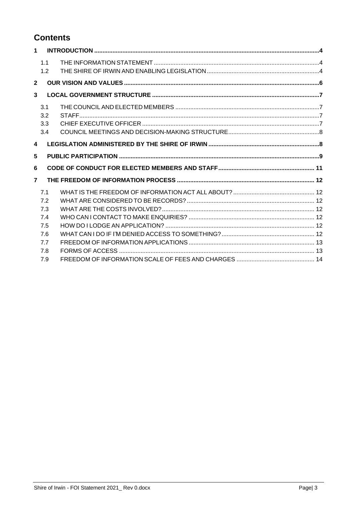# **Contents**

| $\mathbf 1$             |                          |  |
|-------------------------|--------------------------|--|
|                         | 1.1<br>1.2               |  |
| $\overline{2}$          |                          |  |
| 3                       |                          |  |
|                         | 3.1<br>3.2<br>3.3<br>3.4 |  |
| $\overline{\mathbf{4}}$ |                          |  |
| $5\phantom{.0}$         |                          |  |
| 6                       |                          |  |
| $\overline{7}$          |                          |  |
|                         | 7.1<br>7.2               |  |
|                         | 7.3<br>7.4<br>7.5        |  |
|                         | 7.6<br>7.7<br>7.8        |  |
|                         | 7.9                      |  |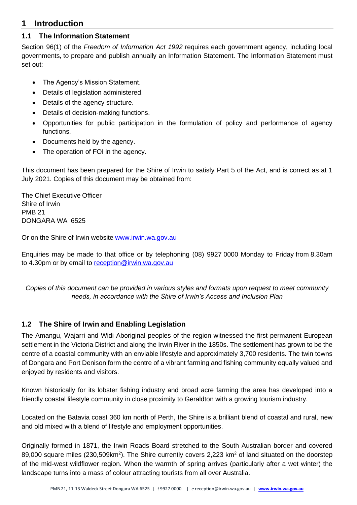# <span id="page-3-0"></span>**1 Introduction**

## <span id="page-3-1"></span>**1.1 The Information Statement**

Section 96(1) of the *Freedom of Information Act 1992* requires each government agency, including local governments, to prepare and publish annually an Information Statement. The Information Statement must set out:

- The Agency's Mission Statement.
- Details of legislation administered.
- Details of the agency structure.
- Details of decision-making functions.
- Opportunities for public participation in the formulation of policy and performance of agency functions.
- Documents held by the agency.
- The operation of FOI in the agency.

This document has been prepared for the Shire of Irwin to satisfy Part 5 of the Act, and is correct as at 1 July 2021. Copies of this document may be obtained from:

The Chief Executive Officer Shire of Irwin PMB 21 DONGARA WA 6525

Or on the Shire of Irwin website [www.irwin.wa.gov.au](http://www.irwin.wa.gov.au/)

Enquiries may be made to that office or by telephoning (08) 9927 0000 Monday to Friday from 8.30am to 4.30pm or by email to [reception@irwin.wa.gov.au](mailto:reception@irwin.wa.gov.au)

*Copies of this document can be provided in various styles and formats upon request to meet community needs, in accordance with the Shire of Irwin's Access and Inclusion Plan*

# <span id="page-3-2"></span>**1.2 The Shire of Irwin and Enabling Legislation**

The Amangu, Wajarri and Widi Aboriginal peoples of the region witnessed the first permanent European settlement in the Victoria District and along the Irwin River in the 1850s. The settlement has grown to be the centre of a coastal community with an enviable lifestyle and approximately 3,700 residents. The twin towns of Dongara and Port Denison form the centre of a vibrant farming and fishing community equally valued and enjoyed by residents and visitors.

Known historically for its lobster fishing industry and broad acre farming the area has developed into a friendly coastal lifestyle community in close proximity to Geraldton with a growing tourism industry.

Located on the Batavia coast 360 km north of Perth, the Shire is a brilliant blend of coastal and rural, new and old mixed with a blend of lifestyle and employment opportunities.

Originally formed in 1871, the Irwin Roads Board stretched to the South Australian border and covered 89,000 square miles (230,509km<sup>2</sup>). The Shire currently covers 2,223 km<sup>2</sup> of land situated on the doorstep of the mid-west wildflower region. When the warmth of spring arrives (particularly after a wet winter) the landscape turns into a mass of colour attracting tourists from all over Australia.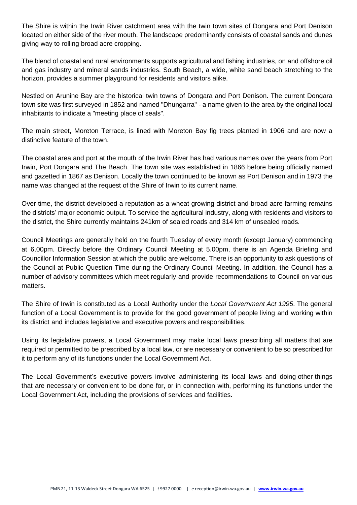The Shire is within the Irwin River catchment area with the twin town sites of Dongara and Port Denison located on either side of the river mouth. The landscape predominantly consists of coastal sands and dunes giving way to rolling broad acre cropping.

The blend of coastal and rural environments supports agricultural and fishing industries, on and offshore oil and gas industry and mineral sands industries. South Beach, a wide, white sand beach stretching to the horizon, provides a summer playground for residents and visitors alike.

Nestled on Arunine Bay are the historical twin towns of Dongara and Port Denison. The current Dongara town site was first surveyed in 1852 and named "Dhungarra" - a name given to the area by the original local inhabitants to indicate a "meeting place of seals".

The main street, Moreton Terrace, is lined with Moreton Bay fig trees planted in 1906 and are now a distinctive feature of the town.

The coastal area and port at the mouth of the Irwin River has had various names over the years from Port Irwin, Port Dongara and The Beach. The town site was established in 1866 before being officially named and gazetted in 1867 as Denison. Locally the town continued to be known as Port Denison and in 1973 the name was changed at the request of the Shire of Irwin to its current name.

Over time, the district developed a reputation as a wheat growing district and broad acre farming remains the districts' major economic output. To service the agricultural industry, along with residents and visitors to the district, the Shire currently maintains 241km of sealed roads and 314 km of unsealed roads.

Council Meetings are generally held on the fourth Tuesday of every month (except January) commencing at 6.00pm. Directly before the Ordinary Council Meeting at 5.00pm, there is an Agenda Briefing and Councillor Information Session at which the public are welcome. There is an opportunity to ask questions of the Council at Public Question Time during the Ordinary Council Meeting. In addition, the Council has a number of advisory committees which meet regularly and provide recommendations to Council on various matters.

The Shire of Irwin is constituted as a Local Authority under the *Local Government Act 1995*. The general function of a Local Government is to provide for the good government of people living and working within its district and includes legislative and executive powers and responsibilities.

Using its legislative powers, a Local Government may make local laws prescribing all matters that are required or permitted to be prescribed by a local law, or are necessary or convenient to be so prescribed for it to perform any of its functions under the Local Government Act.

The Local Government's executive powers involve administering its local laws and doing other things that are necessary or convenient to be done for, or in connection with, performing its functions under the Local Government Act, including the provisions of services and facilities.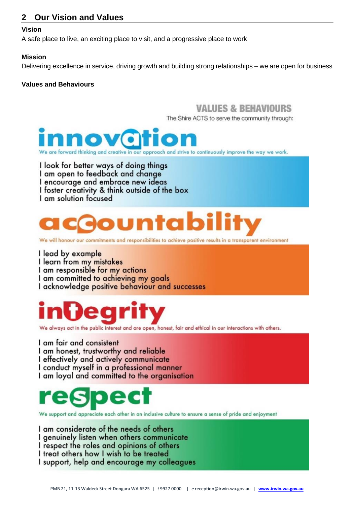# <span id="page-5-0"></span>**2 Our Vision and Values**

#### **Vision**

A safe place to live, an exciting place to visit, and a progressive place to work

#### **Mission**

Delivering excellence in service, driving growth and building strong relationships – we are open for business

#### **Values and Behaviours**

# *VALUES & REHAVIOURS*

The Shire ACTS to serve the community through:



are forward thinking and creative in our approach and strive to continuously improve the way we work.

I look for better ways of doing things I am open to feedback and change I encourage and embrace new ideas I foster creativity & think outside of the box I am solution focused

# ountabi

We will honour our commitments and responsibilities to achieve positive results in a transparent environment

I lead by example I learn from my mistakes I am responsible for my actions I am committed to achieving my goals

I acknowledge positive behaviour and successes



We always act in the public interest and are open, honest, fair and ethical in our interactions with others.

I am fair and consistent I am honest, trustworthy and reliable I effectively and actively communicate I conduct myself in a professional manner I am loyal and committed to the organisation



We support and appreciate each other in an inclusive culture to ensure a sense of pride and enjoyment

I am considerate of the needs of others I genuinely listen when others communicate I respect the roles and opinions of others I treat others how I wish to be treated I support, help and encourage my colleagues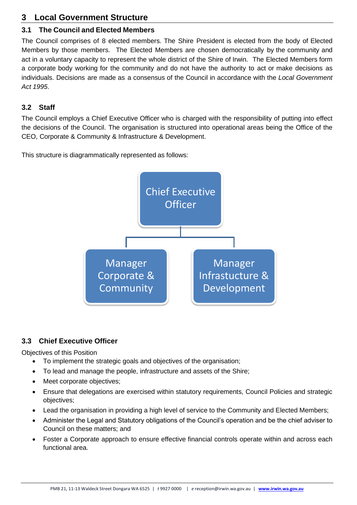# <span id="page-6-0"></span>**3 Local Government Structure**

# <span id="page-6-1"></span>**3.1 The Council and Elected Members**

The Council comprises of 8 elected members. The Shire President is elected from the body of Elected Members by those members. The Elected Members are chosen democratically by the community and act in a voluntary capacity to represent the whole district of the Shire of Irwin. The Elected Members form a corporate body working for the community and do not have the authority to act or make decisions as individuals. Decisions are made as a consensus of the Council in accordance with the *Local Government Act 1995*.

# <span id="page-6-2"></span>**3.2 Staff**

The Council employs a Chief Executive Officer who is charged with the responsibility of putting into effect the decisions of the Council. The organisation is structured into operational areas being the Office of the CEO, Corporate & Community & Infrastructure & Development.

This structure is diagrammatically represented as follows:



# <span id="page-6-3"></span>**3.3 Chief Executive Officer**

Objectives of this Position

- To implement the strategic goals and objectives of the organisation;
- To lead and manage the people, infrastructure and assets of the Shire;
- Meet corporate objectives;
- Ensure that delegations are exercised within statutory requirements, Council Policies and strategic objectives;
- Lead the organisation in providing a high level of service to the Community and Elected Members;
- Administer the Legal and Statutory obligations of the Council's operation and be the chief adviser to Council on these matters; and
- Foster a Corporate approach to ensure effective financial controls operate within and across each functional area.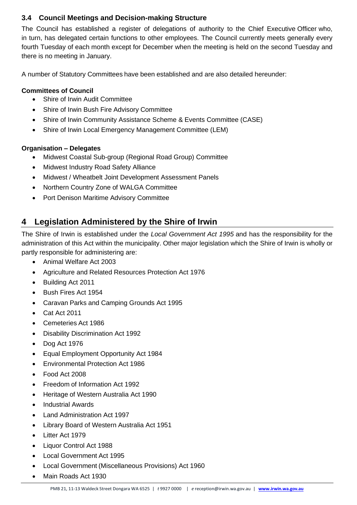# <span id="page-7-0"></span>**3.4 Council Meetings and Decision-making Structure**

The Council has established a register of delegations of authority to the Chief Executive Officer who, in turn, has delegated certain functions to other employees. The Council currently meets generally every fourth Tuesday of each month except for December when the meeting is held on the second Tuesday and there is no meeting in January.

A number of Statutory Committees have been established and are also detailed hereunder:

## **Committees of Council**

- Shire of Irwin Audit Committee
- Shire of Irwin Bush Fire Advisory Committee
- Shire of Irwin Community Assistance Scheme & Events Committee (CASE)
- Shire of Irwin Local Emergency Management Committee (LEM)

#### **Organisation – Delegates**

- Midwest Coastal Sub-group (Regional Road Group) Committee
- Midwest Industry Road Safety Alliance
- Midwest / Wheatbelt Joint Development Assessment Panels
- Northern Country Zone of WALGA Committee
- Port Denison Maritime Advisory Committee

# <span id="page-7-1"></span>**4 Legislation Administered by the Shire of Irwin**

The Shire of Irwin is established under the *Local Government Act 1995* and has the responsibility for the administration of this Act within the municipality. Other major legislation which the Shire of Irwin is wholly or partly responsible for administering are:

- Animal Welfare Act 2003
- Agriculture and Related Resources Protection Act 1976
- Building Act 2011
- Bush Fires Act 1954
- Caravan Parks and Camping Grounds Act 1995
- Cat Act 2011
- Cemeteries Act 1986
- Disability Discrimination Act 1992
- Dog Act 1976
- Equal Employment Opportunity Act 1984
- Environmental Protection Act 1986
- Food Act 2008
- Freedom of Information Act 1992
- Heritage of Western Australia Act 1990
- Industrial Awards
- Land Administration Act 1997
- Library Board of Western Australia Act 1951
- Litter Act 1979
- Liquor Control Act 1988
- Local Government Act 1995
- Local Government (Miscellaneous Provisions) Act 1960
- Main Roads Act 1930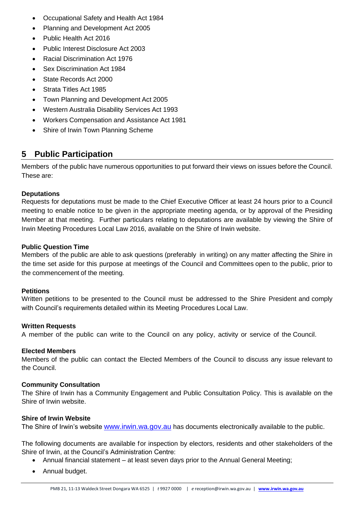- Occupational Safety and Health Act 1984
- Planning and Development Act 2005
- Public Health Act 2016
- Public Interest Disclosure Act 2003
- Racial Discrimination Act 1976
- Sex Discrimination Act 1984
- State Records Act 2000
- Strata Titles Act 1985
- Town Planning and Development Act 2005
- Western Australia Disability Services Act 1993
- Workers Compensation and Assistance Act 1981
- Shire of Irwin Town Planning Scheme

# <span id="page-8-0"></span>**5 Public Participation**

Members of the public have numerous opportunities to put forward their views on issues before the Council. These are:

#### **Deputations**

Requests for deputations must be made to the Chief Executive Officer at least 24 hours prior to a Council meeting to enable notice to be given in the appropriate meeting agenda, or by approval of the Presiding Member at that meeting. Further particulars relating to deputations are available by viewing the Shire of Irwin Meeting Procedures Local Law 2016, available on the Shire of Irwin website.

#### **Public Question Time**

Members of the public are able to ask questions (preferably in writing) on any matter affecting the Shire in the time set aside for this purpose at meetings of the Council and Committees open to the public, prior to the commencement of the meeting.

#### **Petitions**

Written petitions to be presented to the Council must be addressed to the Shire President and comply with Council's requirements detailed within its Meeting Procedures Local Law.

#### **Written Requests**

A member of the public can write to the Council on any policy, activity or service of the Council.

#### **Elected Members**

Members of the public can contact the Elected Members of the Council to discuss any issue relevant to the Council.

#### **Community Consultation**

The Shire of Irwin has a Community Engagement and Public Consultation Policy. This is available on the Shire of Irwin website.

#### **Shire of Irwin Website**

The Shire of Irwin's website [www.irwin.wa.gov.au](http://www.irwin.wa.gov.au/) has documents electronically available to the public.

The following documents are available for inspection by electors, residents and other stakeholders of the Shire of Irwin, at the Council's Administration Centre:

- Annual financial statement at least seven days prior to the Annual General Meeting;
- Annual budget.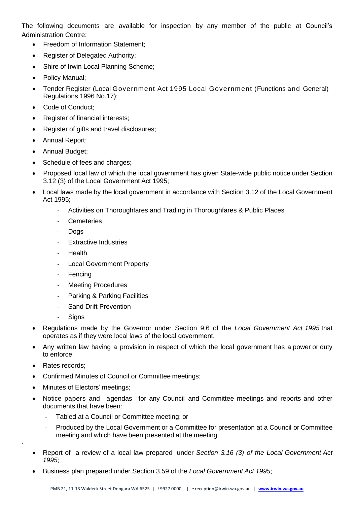The following documents are available for inspection by any member of the public at Council's Administration Centre:

- Freedom of Information Statement;
- Register of Delegated Authority;
- Shire of Irwin Local Planning Scheme;
- Policy Manual;
- Tender Register (Local Government Act 1995 Local Government (Functions and General) Regulations 1996 No.17);
- Code of Conduct;
- Register of financial interests;
- Register of gifts and travel disclosures;
- Annual Report;
- Annual Budget;
- Schedule of fees and charges;
- Proposed local law of which the local government has given State‐wide public notice under Section 3.12 (3) of the Local Government Act 1995;
- Local laws made by the local government in accordance with Section 3.12 of the Local Government Act 1995;
	- Activities on Thoroughfares and Trading in Thoroughfares & Public Places
	- Cemeteries
	- Dogs
	- **Extractive Industries**
	- **Health**
	- Local Government Property
	- Fencing
	- Meeting Procedures
	- Parking & Parking Facilities
	- Sand Drift Prevention
	- **Signs**
- Regulations made by the Governor under Section 9.6 of the *Local Government Act 1995* that operates as if they were local laws of the local government.
- Any written law having a provision in respect of which the local government has a power or duty to enforce;
- Rates records;

+

- Confirmed Minutes of Council or Committee meetings;
- Minutes of Electors' meetings;
- Notice papers and agendas for any Council and Committee meetings and reports and other documents that have been:
	- Tabled at a Council or Committee meeting; or
	- Produced by the Local Government or a Committee for presentation at a Council or Committee meeting and which have been presented at the meeting.
- Report of a review of a local law prepared under *Section 3.16 (3) of the Local Government Act 1995*;
- Business plan prepared under Section 3.59 of the *Local Government Act 1995*;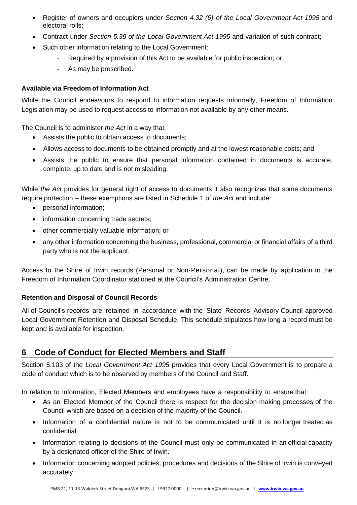- Register of owners and occupiers under *Section 4.32 (6) of the Local Government Act 1995* and electoral rolls;
- Contract under *Section 5.39 of the Local Government Act 1995* and variation of such contract;
- Such other information relating to the Local Government:
	- Required by a provision of this Act to be available for public inspection; or
	- As may be prescribed.

#### **Available via Freedom of Information Act**

While the Council endeavours to respond to information requests informally, Freedom of Information Legislation may be used to request access to information not available by any other means.

The Council is to administer *the Act* in a way that:

- Assists the public to obtain access to documents;
- Allows access to documents to be obtained promptly and at the lowest reasonable costs; and
- Assists the public to ensure that personal information contained in documents is accurate, complete, up to date and is not misleading.

While *the Act* provides for general right of access to documents it also recognizes that some documents require protection – these exemptions are listed in Schedule 1 of *the Act* and include:

- personal information;
- information concerning trade secrets;
- other commercially valuable information; or
- any other information concerning the business, professional, commercial or financial affairs of a third party who is not the applicant.

Access to the Shire of Irwin records (Personal or Non-Personal), can be made by application to the Freedom of Information Coordinator stationed at the Council's Administration Centre.

#### **Retention and Disposal of Council Records**

All of Council's records are retained in accordance with the State Records Advisory Council approved Local Government Retention and Disposal Schedule. This schedule stipulates how long a record must be kept and is available for inspection.

# <span id="page-10-0"></span>**6 Code of Conduct for Elected Members and Staff**

Section 5.103 of the *Local Government Act 1995* provides that every Local Government is to prepare a code of conduct which is to be observed by members of the Council and Staff.

In relation to information, Elected Members and employees have a responsibility to ensure that:

- As an Elected Member of the Council there is respect for the decision making processes of the Council which are based on a decision of the majority of the Council.
- Information of a confidential nature is not to be communicated until it is no longer treated as confidential.
- Information relating to decisions of the Council must only be communicated in an official capacity by a designated officer of the Shire of Irwin.
- Information concerning adopted policies, procedures and decisions of the Shire of Irwin is conveyed accurately.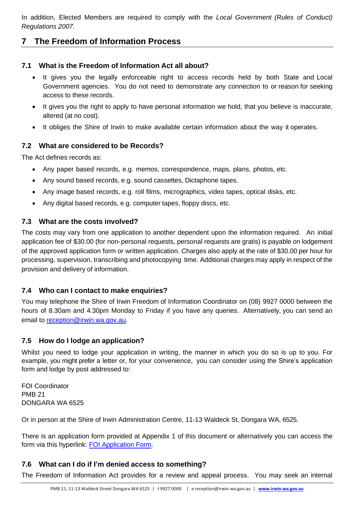In addition, Elected Members are required to comply with the *Local Government (Rules of Conduct) Regulations 2007.*

# <span id="page-11-0"></span>**7 The Freedom of Information Process**

## <span id="page-11-1"></span>**7.1 What is the Freedom of Information Act all about?**

- It gives you the legally enforceable right to access records held by both State and Local Government agencies. You do not need to demonstrate any connection to or reason for seeking access to these records.
- It gives you the right to apply to have personal information we hold, that you believe is inaccurate, altered (at no cost).
- It obliges the Shire of Irwin to make available certain information about the way it operates.

## <span id="page-11-2"></span>**7.2 What are considered to be Records?**

The Act defines records as:

- Any paper based records, e.g. memos, correspondence, maps, plans, photos, etc.
- Any sound based records, e.g. sound cassettes, Dictaphone tapes.
- Any image based records, e.g. roll films, micrographics, video tapes, optical disks, etc.
- Any digital based records, e.g. computer tapes, floppy discs, etc.

# <span id="page-11-3"></span>**7.3 What are the costs involved?**

The costs may vary from one application to another dependent upon the information required. An initial application fee of \$30.00 (for non-personal requests, personal requests are gratis) is payable on lodgement of the approved application form or written application. Charges also apply at the rate of \$30.00 per hour for processing, supervision, transcribing and photocopying time. Additional charges may apply in respect of the provision and delivery of information.

# <span id="page-11-4"></span>**7.4 Who can I contact to make enquiries?**

You may telephone the Shire of Irwin Freedom of Information Coordinator on (08) 9927 0000 between the hours of 8.30am and 4.30pm Monday to Friday if you have any queries. Alternatively, you can send an email to [reception@irwin.wa.gov.au.](mailto:reception@irwin.wa.gov.au)

# <span id="page-11-5"></span>**7.5 How do I lodge an application?**

Whilst you need to lodge your application in writing, the manner in which you do so is up to you. For example, you might prefer a letter or, for your convenience, you can consider using the Shire's application form and lodge by post addressed to:

FOI Coordinator PMB 21 DONGARA WA 6525

Or in person at the Shire of Irwin Administration Centre, 11-13 Waldeck St, Dongara WA, 6525.

There is an application form provided at Appendix 1 of this document or alternatively you can access the form via this hyperlink: [FOI Application Form.](https://www.irwin.wa.gov.au/shireofirwin/media/documents/statutory%20documents/foi/foi-application-form.pdf)

# <span id="page-11-6"></span>**7.6 What can I do if I'm denied access to something?**

The Freedom of Information Act provides for a review and appeal process. You may seek an internal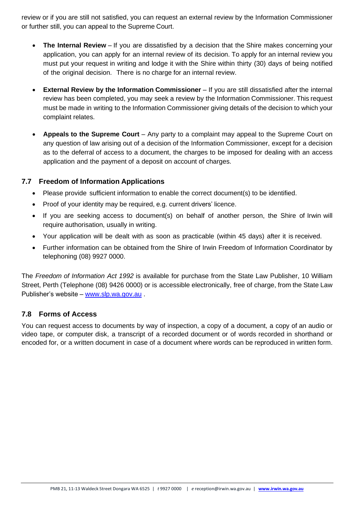review or if you are still not satisfied, you can request an external review by the Information Commissioner or further still, you can appeal to the Supreme Court.

- **The Internal Review**  If you are dissatisfied by a decision that the Shire makes concerning your application, you can apply for an internal review of its decision. To apply for an internal review you must put your request in writing and lodge it with the Shire within thirty (30) days of being notified of the original decision. There is no charge for an internal review.
- **External Review by the Information Commissioner** If you are still dissatisfied after the internal review has been completed, you may seek a review by the Information Commissioner. This request must be made in writing to the Information Commissioner giving details of the decision to which your complaint relates.
- **Appeals to the Supreme Court** Any party to a complaint may appeal to the Supreme Court on any question of law arising out of a decision of the Information Commissioner, except for a decision as to the deferral of access to a document, the charges to be imposed for dealing with an access application and the payment of a deposit on account of charges.

## <span id="page-12-0"></span>**7.7 Freedom of Information Applications**

- Please provide sufficient information to enable the correct document(s) to be identified.
- Proof of your identity may be required, e.g. current drivers' licence.
- If you are seeking access to document(s) on behalf of another person, the Shire of Irwin will require authorisation, usually in writing.
- Your application will be dealt with as soon as practicable (within 45 days) after it is received.
- Further information can be obtained from the Shire of Irwin Freedom of Information Coordinator by telephoning (08) 9927 0000.

The *Freedom of Information Act 1992* is available for purchase from the State Law Publisher, 10 William Street, Perth (Telephone (08) 9426 0000) or is accessible electronically, free of charge, from the State Law Publisher's website – [www.slp.wa.gov.au](http://www.slp.wa.gov.au/) .

#### <span id="page-12-1"></span>**7.8 Forms of Access**

You can request access to documents by way of inspection, a copy of a document, a copy of an audio or video tape, or computer disk, a transcript of a recorded document or of words recorded in shorthand or encoded for, or a written document in case of a document where words can be reproduced in written form.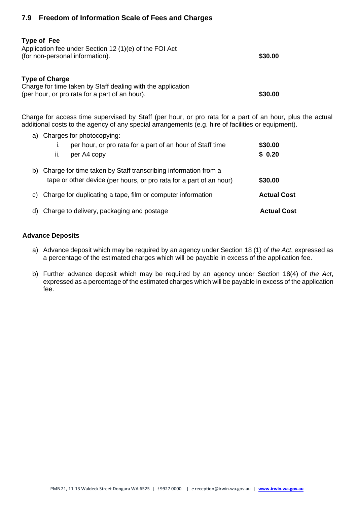## <span id="page-13-0"></span>**7.9 Freedom of Information Scale of Fees and Charges**

| <b>Type of Fee</b><br>Application fee under Section 12 (1)(e) of the FOI Act<br>(for non-personal information).                        | \$30.00 |
|----------------------------------------------------------------------------------------------------------------------------------------|---------|
| <b>Type of Charge</b><br>Charge for time taken by Staff dealing with the application<br>(per hour, or pro rata for a part of an hour). | \$30.00 |

Charge for access time supervised by Staff (per hour, or pro rata for a part of an hour, plus the actual additional costs to the agency of any special arrangements (e.g. hire of facilities or equipment).

a) Charges for photocopying: i. per hour, or pro rata for a part of an hour of Staff time **\$30.00**  ii. per A4 copy **\$ 0.20** b) Charge for time taken by Staff transcribing information from a tape or other device (per hours, or pro rata for a part of an hour) **\$30.00** c) Charge for duplicating a tape, film or computer information **Actual Cost** d) Charge to delivery, packaging and postage **Actual Cost**

#### **Advance Deposits**

- a) Advance deposit which may be required by an agency under Section 18 (1) of *the Act*, expressed as a percentage of the estimated charges which will be payable in excess of the application fee.
- b) Further advance deposit which may be required by an agency under Section 18(4) of *the Act*, expressed as a percentage of the estimated charges which will be payable in excess of the application fee.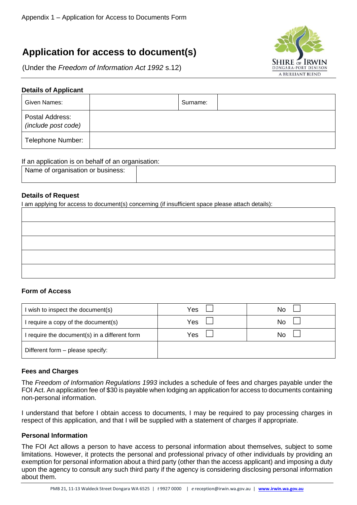# **Application for access to document(s)**

(Under the *Freedom of Information Act 1992* s.12)



#### **Details of Applicant**

| Given Names:                           | Surname: |  |
|----------------------------------------|----------|--|
| Postal Address:<br>(include post code) |          |  |
| Telephone Number:                      |          |  |

#### If an application is on behalf of an organisation:

| Name of organisation or business: |  |
|-----------------------------------|--|
|                                   |  |

#### **Details of Request**

I am applying for access to document(s) concerning (if insufficient space please attach details):

#### **Form of Access**

| I wish to inspect the document(s)             | Yes | No |
|-----------------------------------------------|-----|----|
| I require a copy of the document(s)           | Yes | No |
| I require the document(s) in a different form | Yes | No |
| Different form - please specify:              |     |    |

#### **Fees and Charges**

The *Freedom of Information Regulations 1993* includes a schedule of fees and charges payable under the FOI Act. An application fee of \$30 is payable when lodging an application for access to documents containing non-personal information.

I understand that before I obtain access to documents, I may be required to pay processing charges in respect of this application, and that I will be supplied with a statement of charges if appropriate.

#### **Personal Information**

The FOI Act allows a person to have access to personal information about themselves, subject to some limitations. However, it protects the personal and professional privacy of other individuals by providing an exemption for personal information about a third party (other than the access applicant) and imposing a duty upon the agency to consult any such third party if the agency is considering disclosing personal information about them.